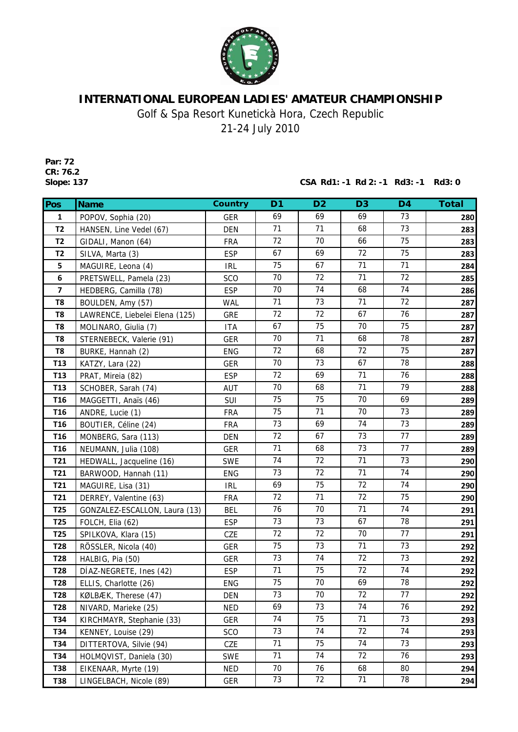

## **INTERNATIONAL EUROPEAN LADIES' AMATEUR CHAMPIONSHIP**

Golf & Spa Resort Kunetickà Hora, Czech Republic

21-24 July 2010

**Par: 72 CR: 76.2**

**Slope: 137 CSA Rd1: -1 Rd 2: -1 Rd3: -1 Rd3: 0**

| Pos                     | <b>Name</b>                    | <b>Country</b> | D <sub>1</sub> | D <sub>2</sub> | D <sub>3</sub> | D <sub>4</sub> | <b>Total</b> |
|-------------------------|--------------------------------|----------------|----------------|----------------|----------------|----------------|--------------|
| 1                       | POPOV, Sophia (20)             | <b>GER</b>     | 69             | 69             | 69             | 73             | 280          |
| <b>T2</b>               | HANSEN, Line Vedel (67)        | <b>DEN</b>     | 71             | 71             | 68             | 73             | 283          |
| <b>T2</b>               | GIDALI, Manon (64)             | <b>FRA</b>     | 72             | 70             | 66             | 75             | 283          |
| T <sub>2</sub>          | SILVA, Marta (3)               | <b>ESP</b>     | 67             | 69             | 72             | 75             | 283          |
| 5                       | MAGUIRE, Leona (4)             | <b>IRL</b>     | 75             | 67             | 71             | 71             | 284          |
| 6                       | PRETSWELL, Pamela (23)         | <b>SCO</b>     | 70             | 72             | 71             | 72             | 285          |
| $\overline{\mathbf{z}}$ | HEDBERG, Camilla (78)          | <b>ESP</b>     | 70             | 74             | 68             | 74             | 286          |
| T8                      | BOULDEN, Amy (57)              | <b>WAL</b>     | 71             | 73             | 71             | 72             | 287          |
| T8                      | LAWRENCE, Liebelei Elena (125) | <b>GRE</b>     | 72             | 72             | 67             | 76             | 287          |
| T <sub>8</sub>          | MOLINARO, Giulia (7)           | <b>ITA</b>     | 67             | 75             | 70             | 75             | 287          |
| T8                      | STERNEBECK, Valerie (91)       | <b>GER</b>     | 70             | 71             | 68             | 78             | 287          |
| T8                      | BURKE, Hannah (2)              | <b>ENG</b>     | 72             | 68             | 72             | 75             | 287          |
| T <sub>13</sub>         | KATZY, Lara (22)               | <b>GER</b>     | 70             | 73             | 67             | 78             | 288          |
| T <sub>13</sub>         | PRAT, Mireia (82)              | <b>ESP</b>     | 72             | 69             | 71             | 76             | 288          |
| <b>T13</b>              | SCHOBER, Sarah (74)            | AUT            | 70             | 68             | 71             | 79             | 288          |
| T <sub>16</sub>         | MAGGETTI, Anaïs (46)           | SUI            | 75             | 75             | 70             | 69             | 289          |
| T <sub>16</sub>         | ANDRE, Lucie (1)               | <b>FRA</b>     | 75             | 71             | 70             | 73             | 289          |
| T <sub>16</sub>         | BOUTIER, Céline (24)           | <b>FRA</b>     | 73             | 69             | 74             | 73             | 289          |
| T <sub>16</sub>         | MONBERG, Sara (113)            | <b>DEN</b>     | 72             | 67             | 73             | 77             | 289          |
| T <sub>16</sub>         | NEUMANN, Julia (108)           | <b>GER</b>     | 71             | 68             | 73             | 77             | 289          |
| T21                     | HEDWALL, Jacqueline (16)       | <b>SWE</b>     | 74             | 72             | 71             | 73             | 290          |
| T21                     | BARWOOD, Hannah (11)           | <b>ENG</b>     | 73             | 72             | 71             | 74             | 290          |
| T21                     | MAGUIRE, Lisa (31)             | <b>IRL</b>     | 69             | 75             | 72             | 74             | 290          |
| T21                     | DERREY, Valentine (63)         | <b>FRA</b>     | 72             | 71             | 72             | 75             | 290          |
| T <sub>25</sub>         | GONZALEZ-ESCALLON, Laura (13)  | <b>BEL</b>     | 76             | 70             | 71             | 74             | 291          |
| T <sub>25</sub>         | FOLCH, Elia (62)               | <b>ESP</b>     | 73             | 73             | 67             | 78             | 291          |
| T <sub>25</sub>         | SPILKOVA, Klara (15)           | CZE            | 72             | 72             | 70             | 77             | 291          |
| <b>T28</b>              | RÖSSLER, Nicola (40)           | <b>GER</b>     | 75             | 73             | 71             | 73             | 292          |
| <b>T28</b>              | HALBIG, Pia (50)               | <b>GER</b>     | 73             | 74             | 72             | 73             | 292          |
| T28                     | DÍAZ-NEGRETE, Ines (42)        | <b>ESP</b>     | 71             | 75             | 72             | 74             | 292          |
| <b>T28</b>              | ELLIS, Charlotte (26)          | ENG            | 75             | $70\,$         | 69             | 78             | 292          |
| <b>T28</b>              | KØLBÆK, Therese (47)           | <b>DEN</b>     | 73             | 70             | 72             | 77             | 292          |
| T28                     | NIVARD, Marieke (25)           | <b>NED</b>     | 69             | 73             | 74             | 76             | 292          |
| T34                     | KIRCHMAYR, Stephanie (33)      | <b>GER</b>     | 74             | 75             | 71             | 73             | 293          |
| T34                     | KENNEY, Louise (29)            | <b>SCO</b>     | 73             | 74             | 72             | 74             | 293          |
| T34                     | DITTERTOVA, Silvie (94)        | CZE            | 71             | 75             | 74             | 73             | 293          |
| T34                     | HOLMQVIST, Daniela (30)        | SWE            | 71             | 74             | 72             | 76             | 293          |
| T38                     | EIKENAAR, Myrte (19)           | <b>NED</b>     | 70             | 76             | 68             | 80             | 294          |
| <b>T38</b>              | LINGELBACH, Nicole (89)        | GER            | 73             | 72             | 71             | 78             | 294          |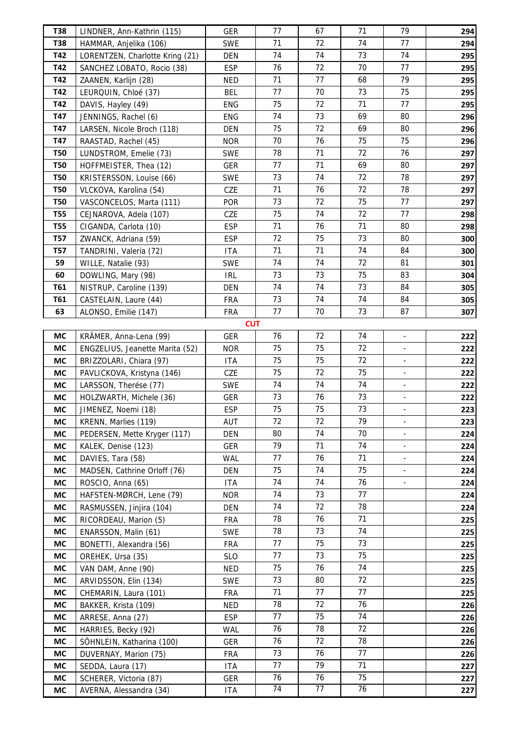| <b>T38</b>        | LINDNER, Ann-Kathrin (115)                       | <b>GER</b>               | 77       | 67       | 71       | 79                       | 294        |
|-------------------|--------------------------------------------------|--------------------------|----------|----------|----------|--------------------------|------------|
| <b>T38</b>        | HAMMAR, Anjelika (106)                           | <b>SWE</b>               | 71       | 72       | 74       | 77                       | 294        |
| T42               | LORENTZEN, Charlotte Kring (21)                  | <b>DEN</b>               | 74       | 74       | 73       | 74                       | 295        |
| T42               | SANCHEZ LOBATO, Rocio (38)                       | <b>ESP</b>               | 76       | 72       | 70       | 77                       | 295        |
| T42               | ZAANEN, Karlijn (28)                             | <b>NED</b>               | 71       | 77       | 68       | 79                       | 295        |
| T42               | LEURQUIN, Chloé (37)                             | <b>BEL</b>               | 77       | 70       | 73       | 75                       | 295        |
| T42               | DAVIS, Hayley (49)                               | <b>ENG</b>               | 75       | 72       | 71       | 77                       | 295        |
| T47               | JENNINGS, Rachel (6)                             | ENG                      | 74       | 73       | 69       | 80                       | 296        |
| T47               | LARSEN, Nicole Broch (118)                       | DEN                      | 75       | 72       | 69       | 80                       | 296        |
| T47               | RAASTAD, Rachel (45)                             | <b>NOR</b>               | 70       | 76       | 75       | 75                       | 296        |
| <b>T50</b>        | LUNDSTROM, Emelie (73)                           | <b>SWE</b>               | 78       | 71       | 72       | 76                       | 297        |
| <b>T50</b>        | HOFFMEISTER, Thea (12)                           | <b>GER</b>               | 77       | 71       | 69       | 80                       | 297        |
| <b>T50</b>        | KRISTERSSON, Louise (66)                         | <b>SWE</b>               | 73       | 74       | 72       | 78                       | 297        |
| <b>T50</b>        | VLCKOVA, Karolina (54)                           | CZE                      | 71       | 76       | 72       | 78                       | 297        |
| <b>T50</b>        | VASCONCELOS, Marta (111)                         | <b>POR</b>               | 73       | 72       | 75       | 77                       | 297        |
| <b>T55</b>        | CEJNAROVA, Adela (107)                           | CZE                      | 75       | 74       | 72       | 77                       | 298        |
| <b>T55</b>        | CIGANDA, Carlota (10)                            | <b>ESP</b>               | 71       | 76       | 71       | 80                       | 298        |
| <b>T57</b>        | ZWANCK, Adriana (59)                             | <b>ESP</b>               | 72       | 75       | 73       | 80                       | 300        |
| <b>T57</b>        | TANDRINI, Valeria (72)                           | <b>ITA</b>               | 71       | 71       | 74       | 84                       | 300        |
| 59                | WILLE, Natalie (93)                              | <b>SWE</b>               | 74       | 74<br>73 | 72<br>75 | 81                       | 301        |
| 60                | DOWLING, Mary (98)                               | <b>IRL</b>               | 73<br>74 | 74       | 73       | 83<br>84                 | 304        |
| <b>T61</b><br>T61 | NISTRUP, Caroline (139)                          | <b>DEN</b>               | 73       | 74       | 74       | 84                       | 305        |
| 63                | CASTELAIN, Laure (44)<br>ALONSO, Emilie (147)    | <b>FRA</b><br><b>FRA</b> | 77       | 70       | 73       | 87                       | 305        |
|                   |                                                  | <b>CUT</b>               |          |          |          |                          | 307        |
| <b>MC</b>         | KRÄMER, Anna-Lena (99)                           | <b>GER</b>               | 76       | 72       | 74       | ä,                       | 222        |
| МC                | ENGZELIUS, Jeanette Marita (52)                  | <b>NOR</b>               | 75       | 75       | 72       | $\blacksquare$           | 222        |
| МC                | BRIZZOLARI, Chiara (97)                          | <b>ITA</b>               | 75       | 75       | 72       | $\blacksquare$           | 222        |
| МC                | PAVLICKOVA, Kristyna (146)                       | CZE                      | 75       | 72       | 75       | ä,                       | 222        |
| МC                | LARSSON, Therése (77)                            | <b>SWE</b>               | 74       | 74       | 74       | $\blacksquare$           | 222        |
| МC                | HOLZWARTH, Michele (36)                          | <b>GER</b>               | 73       | 76       | 73       | $\equiv$                 | 222        |
| МC                | JIMENEZ, Noemi (18)                              | <b>ESP</b>               | 75       | 75       | 73       | $\blacksquare$           | 223        |
| МC                | KRENN, Marlies (119)                             | AUT                      | 72       | 72       | 79       | $\blacksquare$           | 223        |
| МC                | PEDERSEN, Mette Kryger (117)                     | <b>DEN</b>               | 80       | 74       | 70       | $\Box$                   | 224        |
| МC                | KALEK, Denise (123)                              | <b>GER</b>               | 79       | 71       | 74       | $\overline{\phantom{a}}$ | 224        |
| МC                | DAVIES, Tara (58)                                | <b>WAL</b>               | 77       | 76       | 71       | $\blacksquare$           | 224        |
| МC                | MADSEN, Cathrine Orloff (76)                     | DEN                      | 75       | 74       | 75       | $\omega$                 | 224        |
| МC                | ROSCIO, Anna (65)                                | <b>ITA</b>               | 74       | 74       | 76       |                          | 224        |
| МC                | HAFSTEN-MØRCH, Lene (79)                         | <b>NOR</b>               | 74       | 73       | 77       |                          | 224        |
| МC                | RASMUSSEN, Jinjira (104)                         | DEN                      | 74       | 72       | 78       |                          | 224        |
| МC                | RICORDEAU, Marion (5)                            | <b>FRA</b>               | 78       | 76       | 71       |                          | 225        |
| МC                | ENARSSON, Malin (61)                             | <b>SWE</b>               | 78       | 73       | 74       |                          | 225        |
| МC                | BONETTI, Alexandra (56)                          | <b>FRA</b>               | 77       | 75       | 73       |                          | 225        |
| МC                | OREHEK, Ursa (35)                                | <b>SLO</b>               | 77       | 73       | 75       |                          | 225        |
| МC                | VAN DAM, Anne (90)                               | <b>NED</b>               | 75       | 76       | 74       |                          | 225        |
| МC                | ARVIDSSON, Elin (134)                            | <b>SWE</b>               | 73<br>71 | 80<br>77 | 72<br>77 |                          | 225        |
| МC<br>МC          | CHEMARIN, Laura (101)                            | <b>FRA</b><br><b>NED</b> | 78       | 72       | 76       |                          | 225        |
| МC                | BAKKER, Krista (109)<br>ARRESE, Anna (27)        | <b>ESP</b>               | 77       | 75       | 74       |                          | 226<br>226 |
| МC                |                                                  | <b>WAL</b>               | 76       | 78       | 72       |                          |            |
| МC                | HARRIES, Becky (92)<br>SÖHNLEIN, Katharina (100) | <b>GER</b>               | 76       | 72       | 78       |                          | 226<br>226 |
| МC                | DUVERNAY, Marion (75)                            | <b>FRA</b>               | 73       | 76       | 77       |                          | 226        |
| МC                | SEDDA, Laura (17)                                | <b>ITA</b>               | 77       | 79       | 71       |                          | 227        |
| МC                | SCHERER, Victoria (87)                           | <b>GER</b>               | 76       | 76       | 75       |                          | 227        |
| МC                | AVERNA, Alessandra (34)                          | <b>ITA</b>               | 74       | 77       | 76       |                          | 227        |
|                   |                                                  |                          |          |          |          |                          |            |